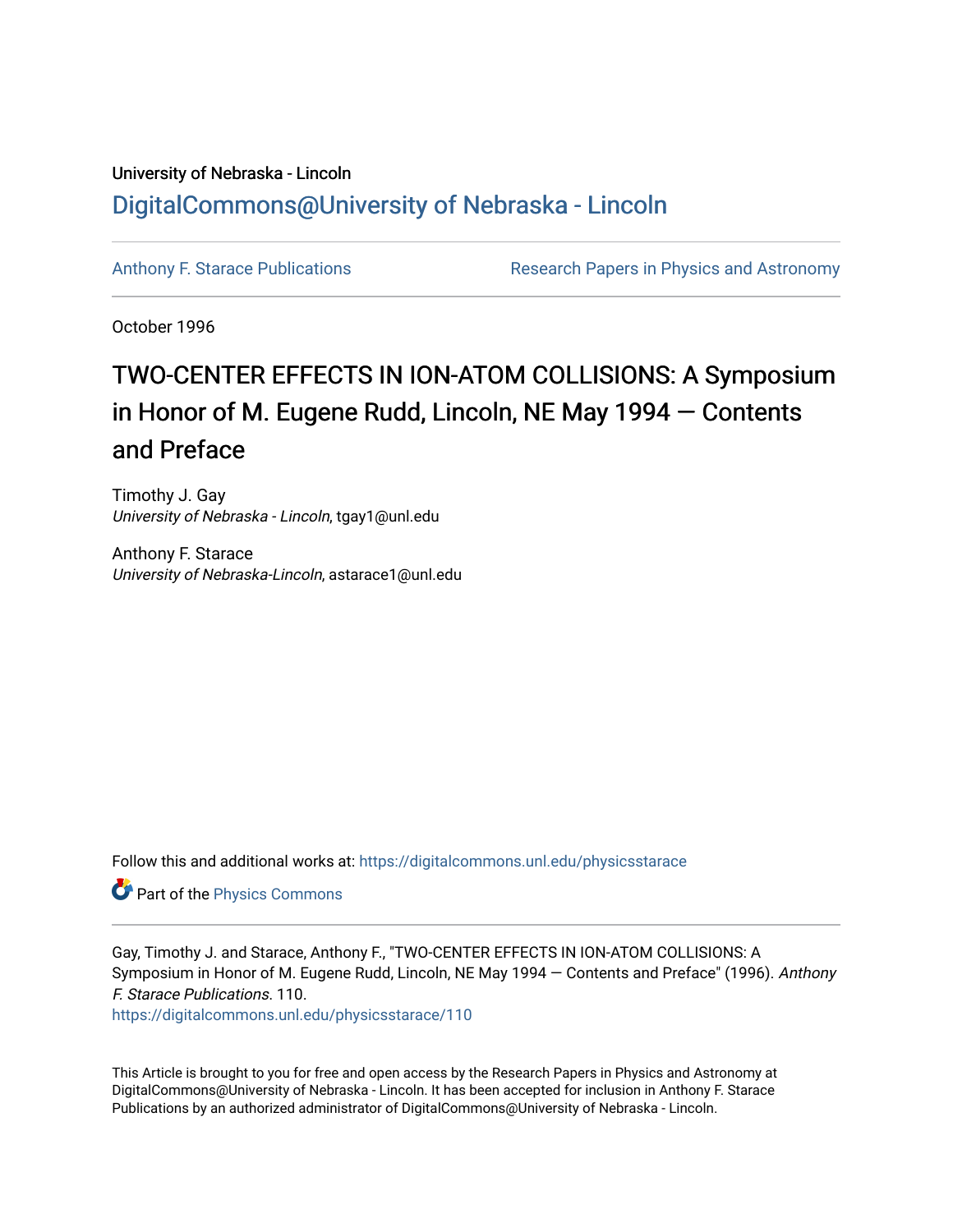### University of Nebraska - Lincoln [DigitalCommons@University of Nebraska - Lincoln](https://digitalcommons.unl.edu/)

[Anthony F. Starace Publications](https://digitalcommons.unl.edu/physicsstarace) Research Papers in Physics and Astronomy

October 1996

## TWO-CENTER EFFECTS IN ION-ATOM COLLISIONS: A Symposium in Honor of M. Eugene Rudd, Lincoln, NE May 1994 — Contents and Preface

Timothy J. Gay University of Nebraska - Lincoln, tgay1@unl.edu

Anthony F. Starace University of Nebraska-Lincoln, astarace1@unl.edu

Follow this and additional works at: [https://digitalcommons.unl.edu/physicsstarace](https://digitalcommons.unl.edu/physicsstarace?utm_source=digitalcommons.unl.edu%2Fphysicsstarace%2F110&utm_medium=PDF&utm_campaign=PDFCoverPages)

Part of the [Physics Commons](http://network.bepress.com/hgg/discipline/193?utm_source=digitalcommons.unl.edu%2Fphysicsstarace%2F110&utm_medium=PDF&utm_campaign=PDFCoverPages)

Gay, Timothy J. and Starace, Anthony F., "TWO-CENTER EFFECTS IN ION-ATOM COLLISIONS: A Symposium in Honor of M. Eugene Rudd, Lincoln, NE May 1994 — Contents and Preface" (1996). Anthony F. Starace Publications. 110.

[https://digitalcommons.unl.edu/physicsstarace/110](https://digitalcommons.unl.edu/physicsstarace/110?utm_source=digitalcommons.unl.edu%2Fphysicsstarace%2F110&utm_medium=PDF&utm_campaign=PDFCoverPages) 

This Article is brought to you for free and open access by the Research Papers in Physics and Astronomy at DigitalCommons@University of Nebraska - Lincoln. It has been accepted for inclusion in Anthony F. Starace Publications by an authorized administrator of DigitalCommons@University of Nebraska - Lincoln.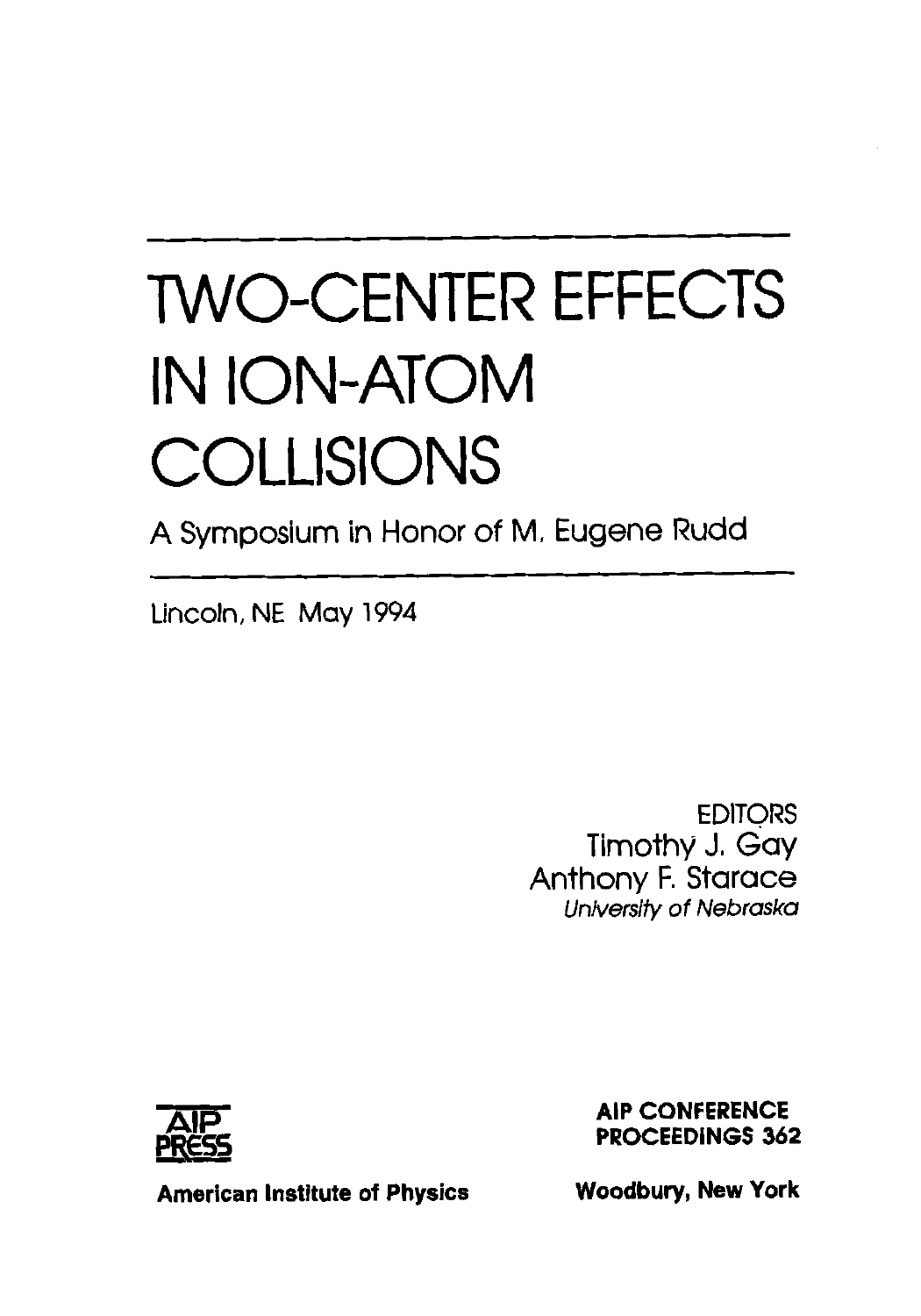# -<br>-<br>-<br>- - - -WO-CENTER EFFECTS IN ION-ATOM COLLISIONS

A Symposium in Honor of M. Eugene Rudd

Lincoln, NE May 1994

EDITORS Timothy J. Gay Anthony F. Starace University of Nebraska



**American Institute of Physics** 

**AIP CONFERENCE PROCEEDINGS 362** 

**Woodbury, New York**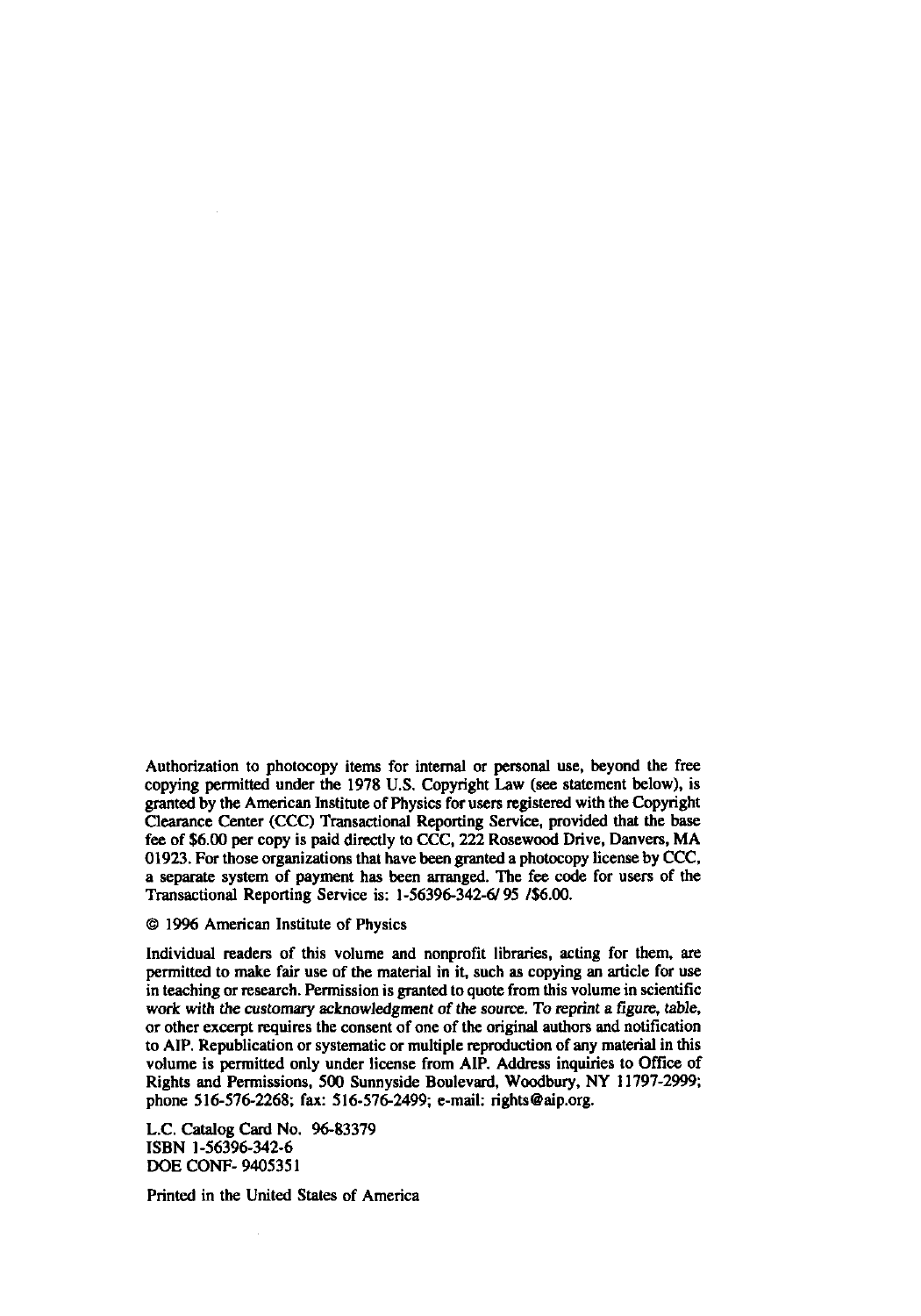Authorization to photocopy items for internal or personal use, beyond the free copying permitted under the 1978 U.S. Copyright Law **(see** statement below), is granted by **the** American Institute of Physics for users registered with the Copyright Clearance Center (CCC) Transactional Reporting Service, provided that the base fee of \$6.00 per copy is paid directly to CCC, 222 Rosewood Drive, Danvers, MA 01923. For those organizations that have been granted a photocopy license by CCC. a separate system of payment has been arranged. The fee code for users of the Transactional Reporting Service is: 1-56396-342-61 95 1\$6.00.

@ 19% American Institute of Physics

Individual readers of this volume and nonprofit libraries, acting for them. are permitted to make fair use of the material in it, such as copying an article for use in teaching or research. Permission is granted to quote from this volume in scientific work with the customary acknowledgment of the source. To reprint a figure, table, or other excerpt requires the consent of one of the original authors and notification to AIP. Republication or systematic or multiple reproduction of any material in this volume is permitted only under license from AIP. Address inquiries to Office of Rights and Permissions. 500 Sunnyside Boulevard. Woodbury, NY 11797-2999, phone 516-576-2268; fax: 516-576-2499, e-mail: rights@aip.org.

L.C. Catalog Card No. 96-83379 ISBN 1-56396-342-6 DOE CONF- 9405351

Printed in **the** United States of America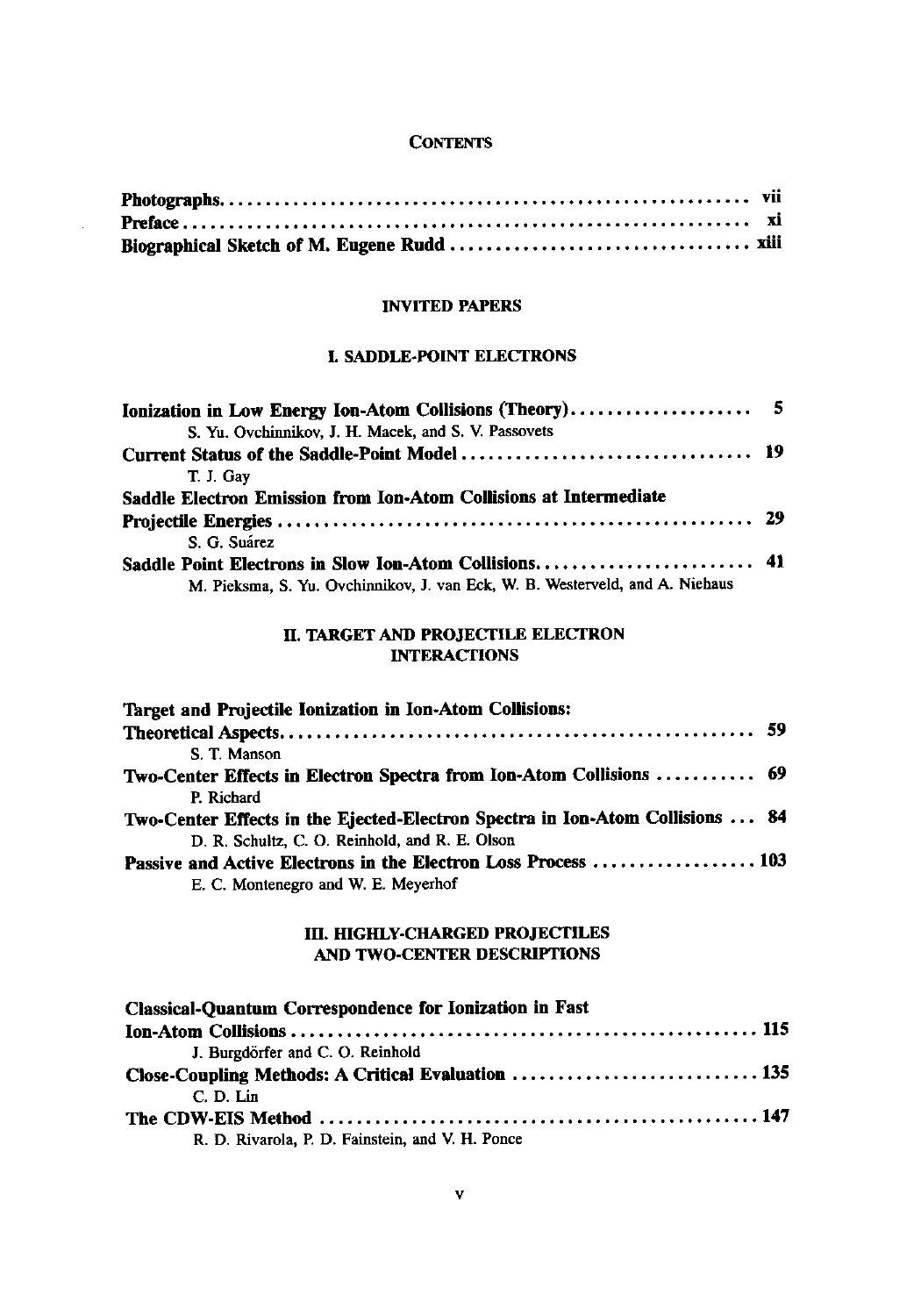#### **CONTENTS**

#### **INVITED PAPERS**

#### **1. SADDLE-POINT ELECTRONS**

| S. Yu. Ovchinnikov, J. H. Macek, and S. V. Passovets                         |  |
|------------------------------------------------------------------------------|--|
|                                                                              |  |
| T. J. Gay                                                                    |  |
| Saddle Electron Emission from Ion-Atom Collisions at Intermediate            |  |
|                                                                              |  |
| S. G. Suárez                                                                 |  |
| Saddle Point Electrons in Slow Ion-Atom Collisions 41                        |  |
| M. Pieksma, S. Yu. Ovchinnikov, J. van Eck, W. B. Westerveld, and A. Niehaus |  |

#### **II. TARGET AND PROJECTILE ELECTRON INTERACTIONS**

| Target and Projectile Ionization in Ion-Atom Collisions:                      |  |
|-------------------------------------------------------------------------------|--|
|                                                                               |  |
| S. T. Manson                                                                  |  |
| Two-Center Effects in Electron Spectra from Ion-Atom Collisions  69           |  |
| P. Richard                                                                    |  |
| Two-Center Effects in the Ejected-Electron Spectra in Ion-Atom Collisions  84 |  |
| D. R. Schultz, C. O. Reinhold, and R. E. Olson                                |  |
| Passive and Active Electrons in the Electron Loss Process  103                |  |
| E. C. Montenegro and W. E. Meyerhof                                           |  |

#### **111. HIGHLY-CHARGED PROJECIILES AND TWO-CENTER DESCRIPTIONS**

| Classical-Quantum Correspondence for Ionization in Fast |  |
|---------------------------------------------------------|--|
|                                                         |  |
| J. Burgdörfer and C. O. Reinhold                        |  |
| Close-Coupling Methods: A Critical Evaluation  135      |  |
| C. D. Lin                                               |  |
|                                                         |  |
| R. D. Rivarola, P. D. Fainstein, and V. H. Ponce        |  |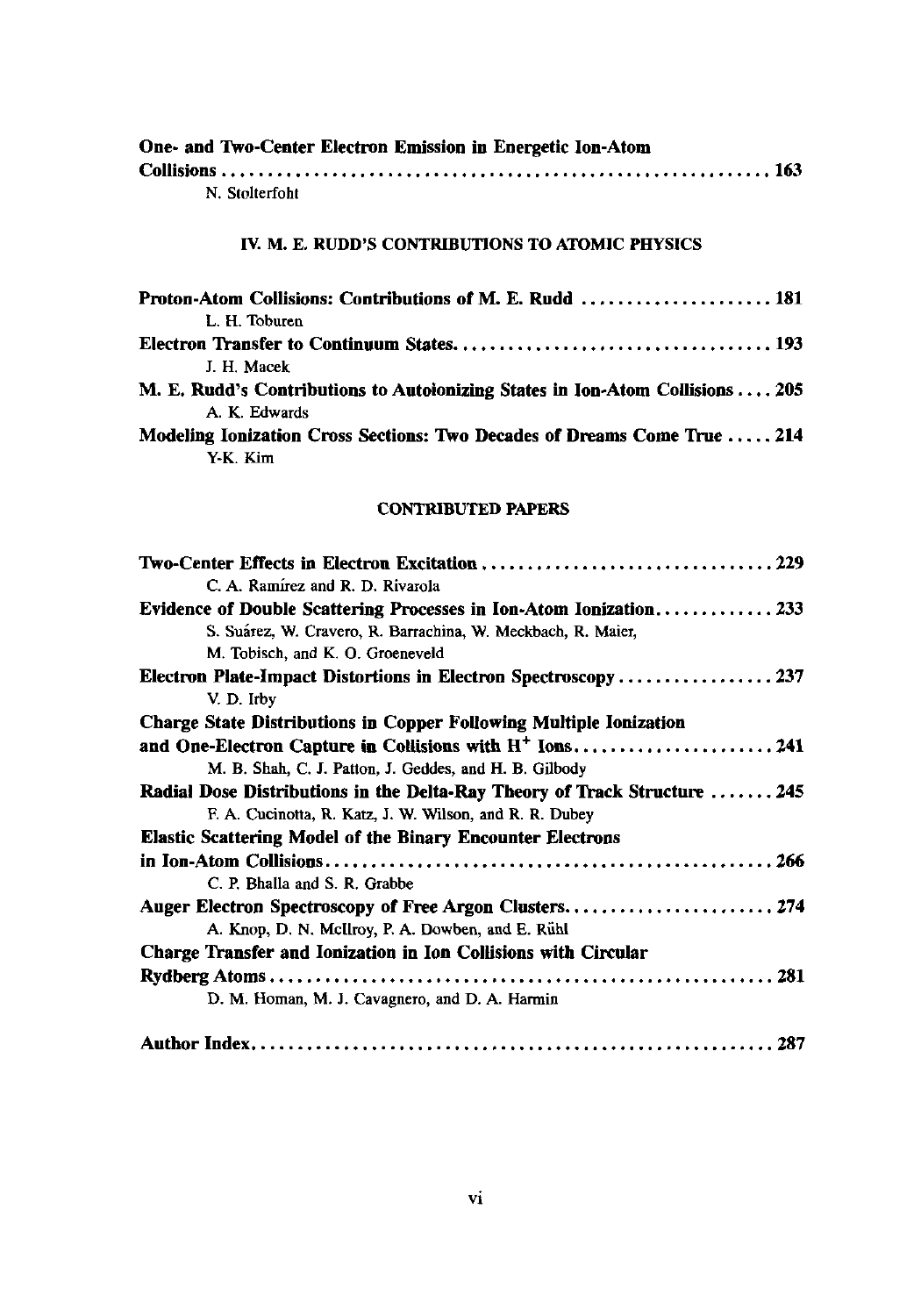| One- and Two-Center Electron Emission in Energetic Ion-Atom                                                                                                            |
|------------------------------------------------------------------------------------------------------------------------------------------------------------------------|
| N. Stolterfoht                                                                                                                                                         |
| IV. M. E. RUDD'S CONTRIBUTIONS TO ATOMIC PHYSICS                                                                                                                       |
| Proton-Atom Collisions: Contributions of M. E. Rudd  181<br>L. H. Toburen                                                                                              |
| J. H. Macek                                                                                                                                                            |
| M. E. Rudd's Contributions to Autoionizing States in Ion-Atom Collisions  205<br>A. K. Edwards                                                                         |
| Modeling Ionization Cross Sections: Two Decades of Dreams Come True  214<br>Y-K. Kim                                                                                   |
| <b>CONTRIBUTED PAPERS</b>                                                                                                                                              |
| C. A. Ramírez and R. D. Rivarola                                                                                                                                       |
| Evidence of Double Scattering Processes in Ion-Atom Ionization 233<br>S. Suárez, W. Cravero, R. Barrachina, W. Meckbach, R. Maier,<br>M. Tobisch, and K. O. Groeneveld |
| Electron Plate-Impact Distortions in Electron Spectroscopy 237<br>V. D. Irby                                                                                           |
| Charge State Distributions in Copper Following Multiple Ionization                                                                                                     |
| M. B. Shah, C. J. Patton, J. Geddes, and H. B. Gilbody                                                                                                                 |
| Radial Dose Distributions in the Delta-Ray Theory of Track Structure  245<br>F. A. Cucinotta, R. Katz, J. W. Wilson, and R. R. Dubey                                   |
| <b>Elastic Scattering Model of the Binary Encounter Electrons</b>                                                                                                      |
|                                                                                                                                                                        |
| C. P. Bhalla and S. R. Grabbe                                                                                                                                          |
| Auger Electron Spectroscopy of Free Argon Clusters 274                                                                                                                 |
| A. Knop, D. N. McIlroy, P. A. Dowben, and E. Rühl                                                                                                                      |
| Charge Transfer and Ionization in Ion Collisions with Circular                                                                                                         |
| D. M. Homan, M. J. Cavagnero, and D. A. Harmin                                                                                                                         |
|                                                                                                                                                                        |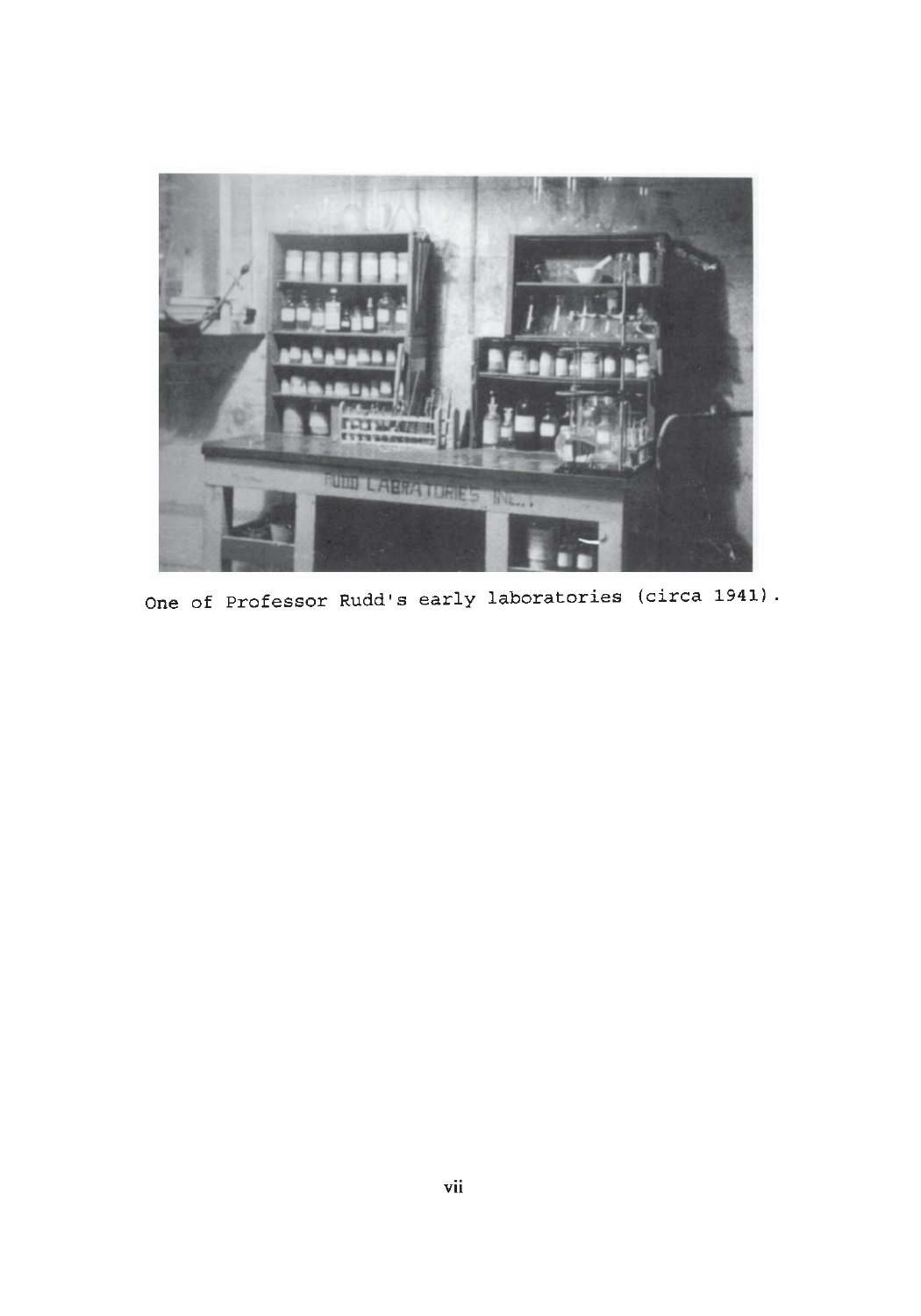

**One of Professor Rudd's early laboratories (circa 1941).**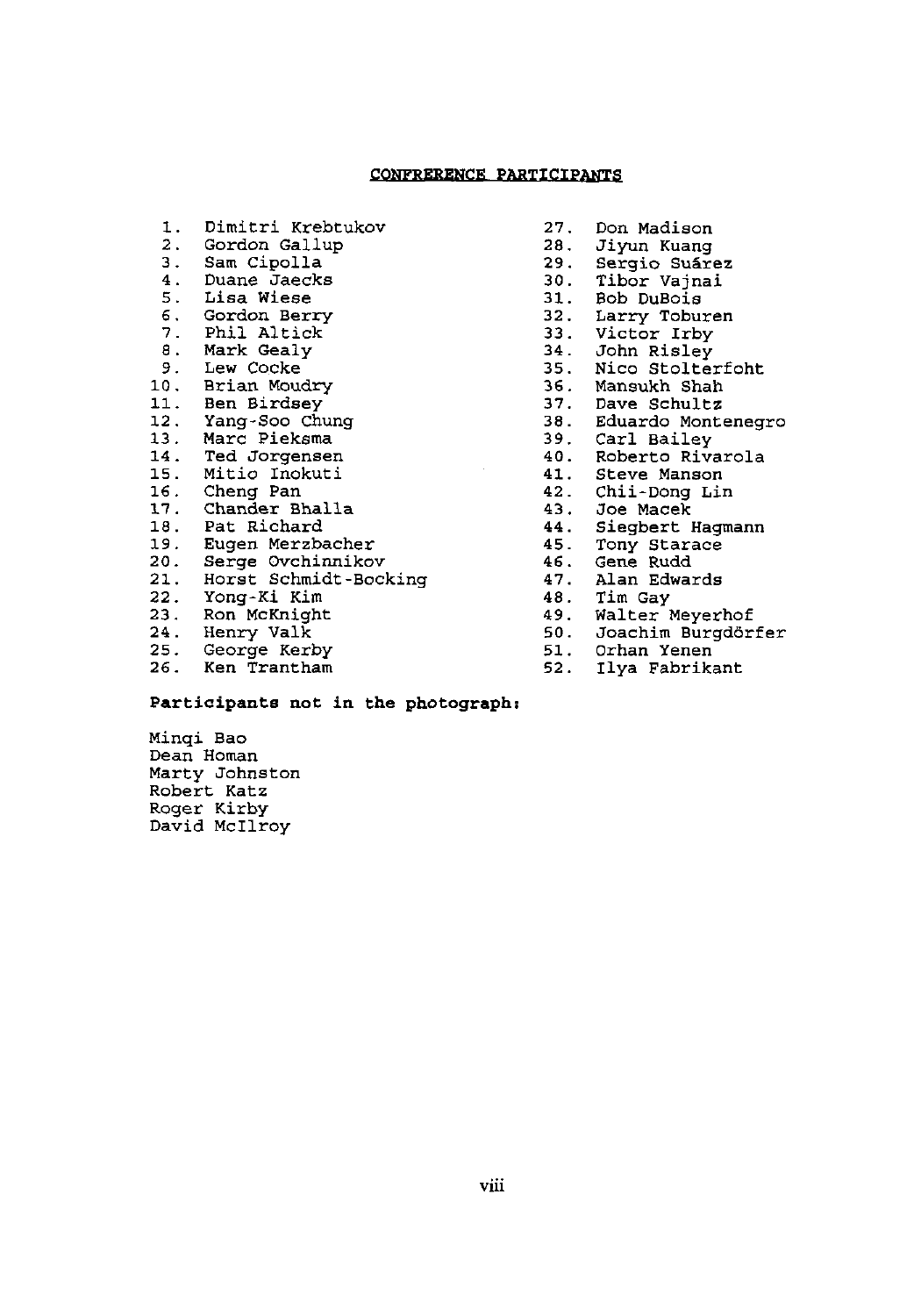#### CONFRERENCE PARTICIPANTS

 $\sim$ 

- 1. Dimitri Krebtukov  $2.$ Gordon Gallup Sam Cipolla  $3.$ Duane Jaecks 4. Lisa Wiese 5. 6. Gordon Berry Phil Altick 7. Mark Gealy 8. Lew Cocke 9. Brian Moudry 10. Ben Birdsey  $11.$ Yang-Soo Chung  $12.$ 12. Tang-soo chun<br>13. Marc Pieksma **14.** Ted Jorgensen **15.** Mitio Inokuti **16.** Cheng Pan **17.** Chander Bhalla **18.** Pat Richard **19.** Eugen Merzbacher **20.** Serge Wchinnikov 21. Horst Schmic<br>22. Yong-Ki Kim<br>23. Ron McKnight **21.** Horst Schmidt-Bocking **23.** Ron McKnight **24.** Henry Valk **25.** George Kerby **26.** Ken Trantham
- $27.$ Don Madison<br>Jiyun Kuang 28. Jiyun Kuang Sergio Suárez Tibor Vajnai 31. Bob DuBois  $32.$ Larry Toburen Victor Irby  $33.$  $34.$ John Risley Nico Stolterfoht Mansukh Shah  $37.$ Dave Schultz Eduardo Montenegro Carl Bailey Roberto Rivarola  $41.$ Steve Manson 42. Chii-Dong Lin  $43.$ Joe Macek Siegbert Hagmann 44. 45. Tony Starace Gene Rudd 46. Alan Edwards 47. 48. Tim Gay 49. Walter Meyerhof 50. Joachim Burgdörfer Orhan Yenen 52. Ilya Fabrikant

#### Participants not in the photograph:

Minqi Bao Dean Homan Marty Johnston Robert Katz Roger Kirby David McIlroy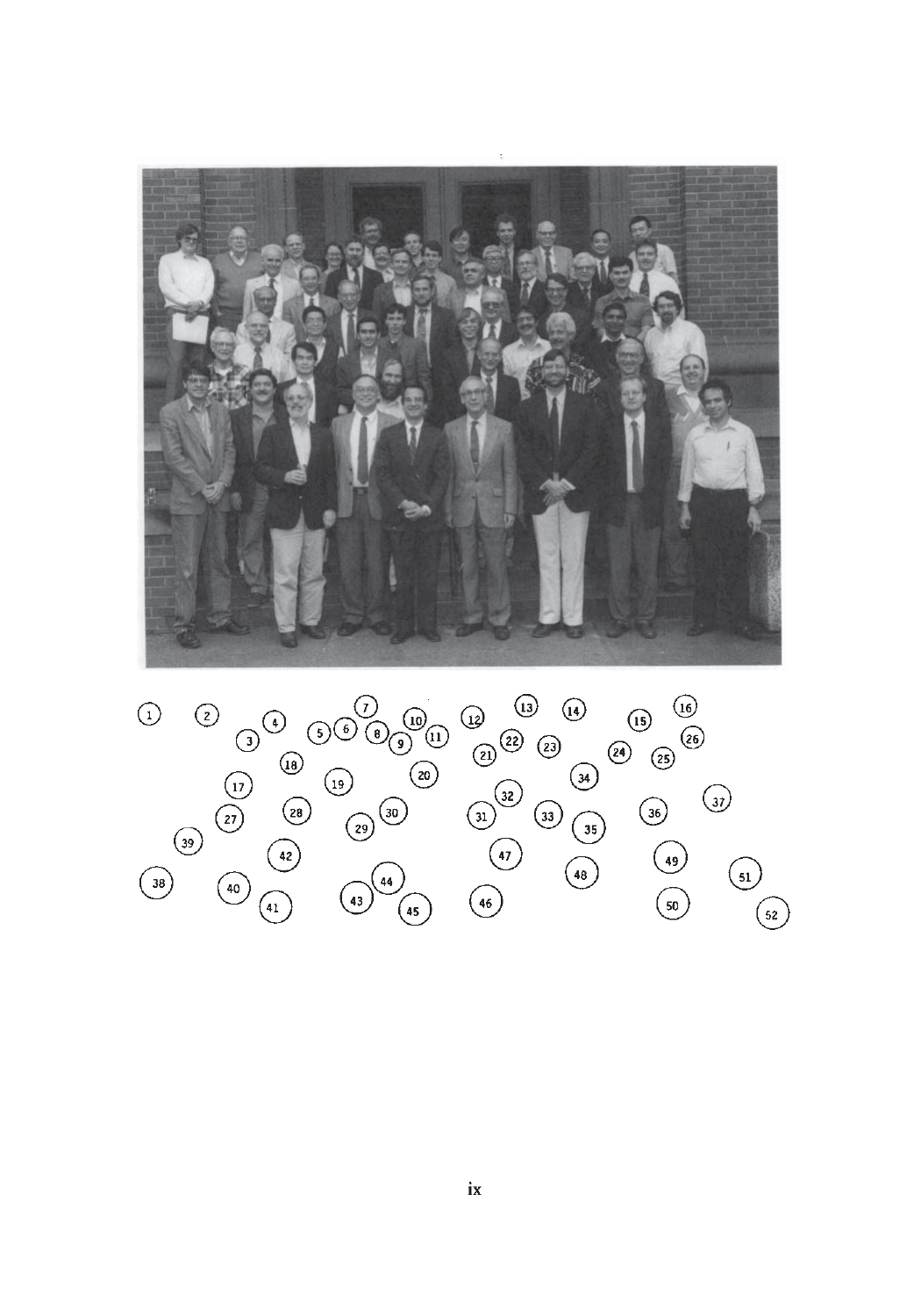

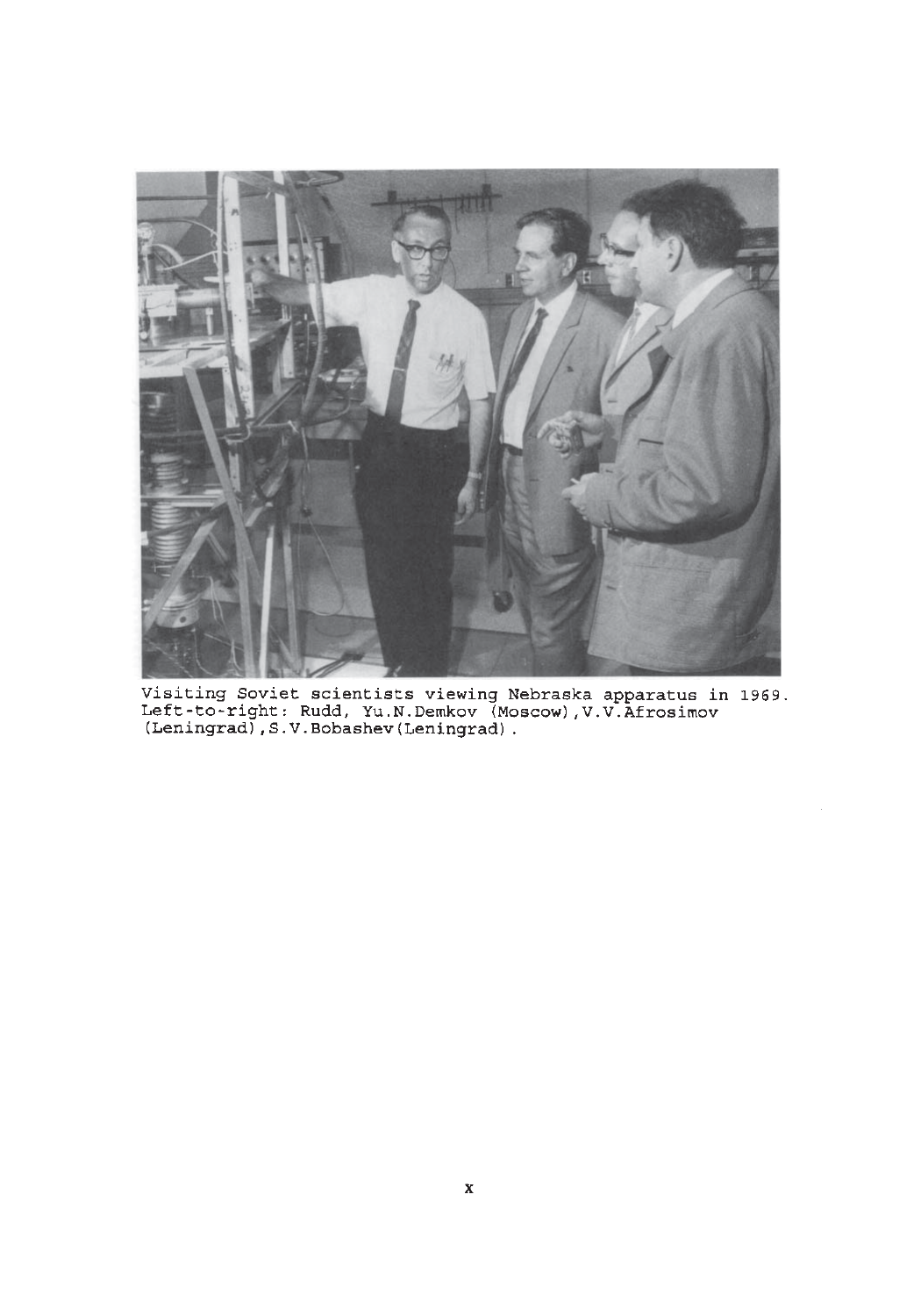

**Visiting Soviet scientists viewing Nebraska apparatus in 1969. Left-to-right: Rudd, Yu.N.Demkov (Moscow),V.V.Afrosimov (Leningrad),S.V.Bobashev(Leningrad)** .